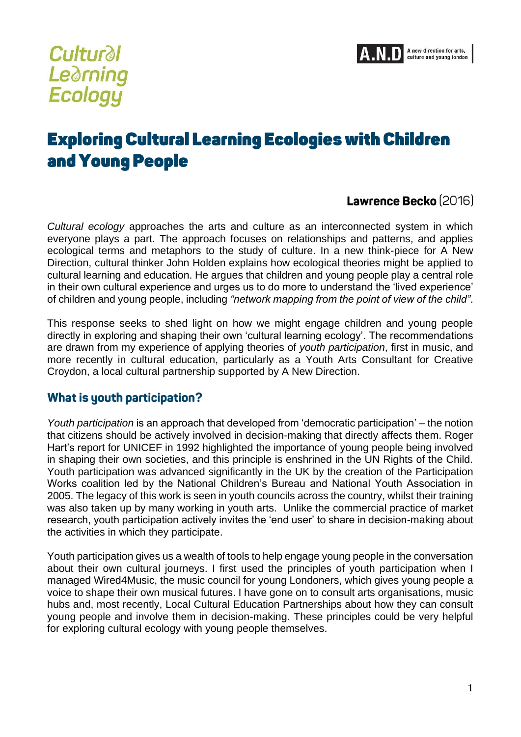

# **Cultural Learning** Ecology

# **Exploring Cultural Learning Ecologies with Children** and Young People

## Lawrence Becko (2016)

*Cultural ecology* approaches the arts and culture as an interconnected system in which everyone plays a part. The approach focuses on relationships and patterns, and applies ecological terms and metaphors to the study of culture. In a new think-piece for A New Direction, cultural thinker John Holden explains how ecological theories might be applied to cultural learning and education. He argues that children and young people play a central role in their own cultural experience and urges us to do more to understand the 'lived experience' of children and young people, including *"network mapping from the point of view of the child"*.

This response seeks to shed light on how we might engage children and young people directly in exploring and shaping their own 'cultural learning ecology'. The recommendations are drawn from my experience of applying theories of *youth participation*, first in music, and more recently in cultural education, particularly as a Youth Arts Consultant for Creative Croydon, a local cultural partnership supported by A New Direction.

#### What is youth participation?

*Youth participation* is an approach that developed from 'democratic participation' – the notion that citizens should be actively involved in decision-making that directly affects them. Roger Hart's report for UNICEF in 1992 highlighted the importance of young people being involved in shaping their own societies, and this principle is enshrined in the UN Rights of the Child. Youth participation was advanced significantly in the UK by the creation of the Participation Works coalition led by the National Children's Bureau and National Youth Association in 2005. The legacy of this work is seen in youth councils across the country, whilst their training was also taken up by many working in youth arts. Unlike the commercial practice of market research, youth participation actively invites the 'end user' to share in decision-making about the activities in which they participate.

Youth participation gives us a wealth of tools to help engage young people in the conversation about their own cultural journeys. I first used the principles of youth participation when I managed Wired4Music, the music council for young Londoners, which gives young people a voice to shape their own musical futures. I have gone on to consult arts organisations, music hubs and, most recently, Local Cultural Education Partnerships about how they can consult young people and involve them in decision-making. These principles could be very helpful for exploring cultural ecology with young people themselves.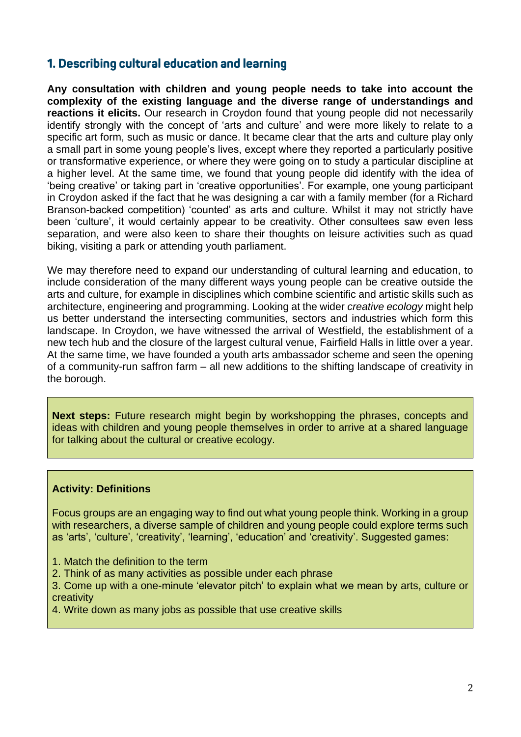## 1. Describing cultural education and learning

**Any consultation with children and young people needs to take into account the complexity of the existing language and the diverse range of understandings and reactions it elicits.** Our research in Croydon found that young people did not necessarily identify strongly with the concept of 'arts and culture' and were more likely to relate to a specific art form, such as music or dance. It became clear that the arts and culture play only a small part in some young people's lives, except where they reported a particularly positive or transformative experience, or where they were going on to study a particular discipline at a higher level. At the same time, we found that young people did identify with the idea of 'being creative' or taking part in 'creative opportunities'. For example, one young participant in Croydon asked if the fact that he was designing a car with a family member (for a Richard Branson-backed competition) 'counted' as arts and culture. Whilst it may not strictly have been 'culture', it would certainly appear to be creativity. Other consultees saw even less separation, and were also keen to share their thoughts on leisure activities such as quad biking, visiting a park or attending youth parliament.

We may therefore need to expand our understanding of cultural learning and education, to include consideration of the many different ways young people can be creative outside the arts and culture, for example in disciplines which combine scientific and artistic skills such as architecture, engineering and programming. Looking at the wider *creative ecology* might help us better understand the intersecting communities, sectors and industries which form this landscape. In Croydon, we have witnessed the arrival of Westfield, the establishment of a new tech hub and the closure of the largest cultural venue, Fairfield Halls in little over a year. At the same time, we have founded a youth arts ambassador scheme and seen the opening of a community-run saffron farm – all new additions to the shifting landscape of creativity in the borough.

**Next steps:** Future research might begin by workshopping the phrases, concepts and ideas with children and young people themselves in order to arrive at a shared language for talking about the cultural or creative ecology.

#### **Activity: Definitions**

Focus groups are an engaging way to find out what young people think. Working in a group with researchers, a diverse sample of children and young people could explore terms such as 'arts', 'culture', 'creativity', 'learning', 'education' and 'creativity'. Suggested games:

- 1. Match the definition to the term
- 2. Think of as many activities as possible under each phrase

3. Come up with a one-minute 'elevator pitch' to explain what we mean by arts, culture or creativity

4. Write down as many jobs as possible that use creative skills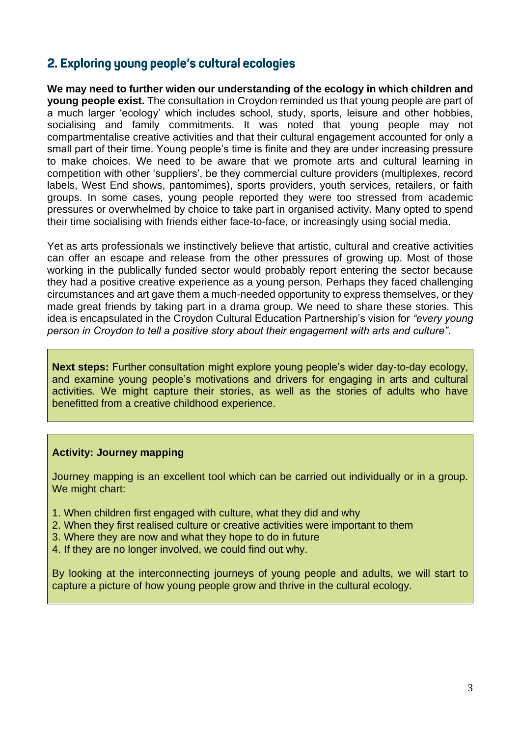## 2. Exploring young people's cultural ecologies

**We may need to further widen our understanding of the ecology in which children and young people exist.** The consultation in Croydon reminded us that young people are part of a much larger 'ecology' which includes school, study, sports, leisure and other hobbies, socialising and family commitments. It was noted that young people may not compartmentalise creative activities and that their cultural engagement accounted for only a small part of their time. Young people's time is finite and they are under increasing pressure to make choices. We need to be aware that we promote arts and cultural learning in competition with other 'suppliers', be they commercial culture providers (multiplexes, record labels, West End shows, pantomimes), sports providers, youth services, retailers, or faith groups. In some cases, young people reported they were too stressed from academic pressures or overwhelmed by choice to take part in organised activity. Many opted to spend their time socialising with friends either face-to-face, or increasingly using social media.

Yet as arts professionals we instinctively believe that artistic, cultural and creative activities can offer an escape and release from the other pressures of growing up. Most of those working in the publically funded sector would probably report entering the sector because they had a positive creative experience as a young person. Perhaps they faced challenging circumstances and art gave them a much-needed opportunity to express themselves, or they made great friends by taking part in a drama group. We need to share these stories. This idea is encapsulated in the Croydon Cultural Education Partnership's vision for *"every young person in Croydon to tell a positive story about their engagement with arts and culture"*.

**Next steps:** Further consultation might explore young people's wider day-to-day ecology, and examine young people's motivations and drivers for engaging in arts and cultural activities. We might capture their stories, as well as the stories of adults who have benefitted from a creative childhood experience.

#### **Activity: Journey mapping**

Journey mapping is an excellent tool which can be carried out individually or in a group. We might chart:

- 1. When children first engaged with culture, what they did and why
- 2. When they first realised culture or creative activities were important to them
- 3. Where they are now and what they hope to do in future
- 4. If they are no longer involved, we could find out why.

By looking at the interconnecting journeys of young people and adults, we will start to capture a picture of how young people grow and thrive in the cultural ecology.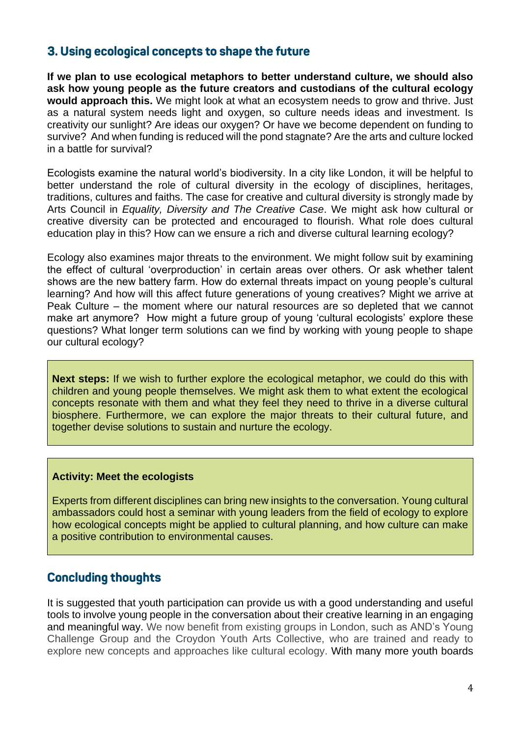## 3. Using ecological concepts to shape the future

**If we plan to use ecological metaphors to better understand culture, we should also ask how young people as the future creators and custodians of the cultural ecology would approach this.** We might look at what an ecosystem needs to grow and thrive. Just as a natural system needs light and oxygen, so culture needs ideas and investment. Is creativity our sunlight? Are ideas our oxygen? Or have we become dependent on funding to survive? And when funding is reduced will the pond stagnate? Are the arts and culture locked in a battle for survival?

Ecologists examine the natural world's biodiversity. In a city like London, it will be helpful to better understand the role of cultural diversity in the ecology of disciplines, heritages, traditions, cultures and faiths. The case for creative and cultural diversity is strongly made by Arts Council in *Equality, Diversity and The Creative Case*. We might ask how cultural or creative diversity can be protected and encouraged to flourish. What role does cultural education play in this? How can we ensure a rich and diverse cultural learning ecology?

Ecology also examines major threats to the environment. We might follow suit by examining the effect of cultural 'overproduction' in certain areas over others. Or ask whether talent shows are the new battery farm. How do external threats impact on young people's cultural learning? And how will this affect future generations of young creatives? Might we arrive at Peak Culture – the moment where our natural resources are so depleted that we cannot make art anymore? How might a future group of young 'cultural ecologists' explore these questions? What longer term solutions can we find by working with young people to shape our cultural ecology?

**Next steps:** If we wish to further explore the ecological metaphor, we could do this with children and young people themselves. We might ask them to what extent the ecological concepts resonate with them and what they feel they need to thrive in a diverse cultural biosphere. Furthermore, we can explore the major threats to their cultural future, and together devise solutions to sustain and nurture the ecology.

#### **Activity: Meet the ecologists**

Experts from different disciplines can bring new insights to the conversation. Young cultural ambassadors could host a seminar with young leaders from the field of ecology to explore how ecological concepts might be applied to cultural planning, and how culture can make a positive contribution to environmental causes.

#### **Concluding thoughts**

It is suggested that youth participation can provide us with a good understanding and useful tools to involve young people in the conversation about their creative learning in an engaging and meaningful way. We now benefit from existing groups in London, such as AND's Young Challenge Group and the Croydon Youth Arts Collective, who are trained and ready to explore new concepts and approaches like cultural ecology. With many more youth boards